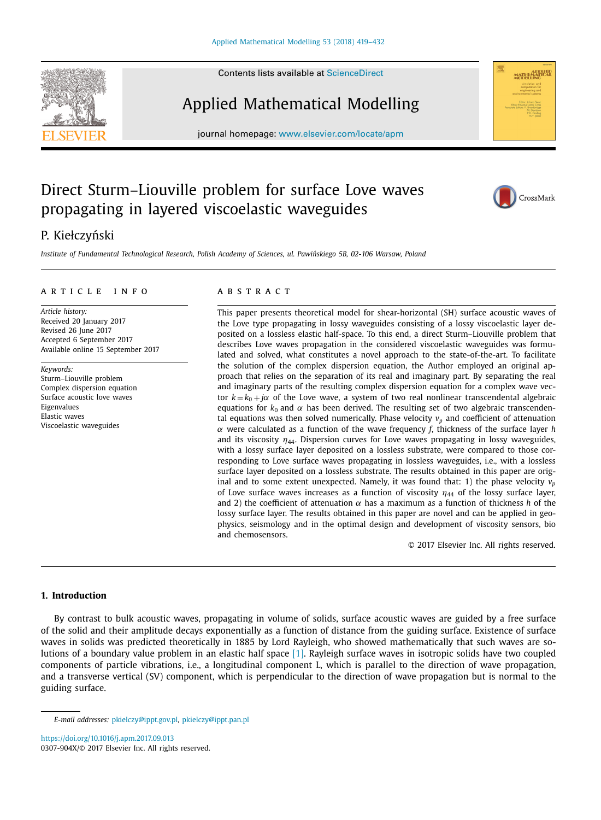Contents lists available at [ScienceDirect](http://www.ScienceDirect.com)





# Applied Mathematical Modelling

journal homepage: [www.elsevier.com/locate/apm](http://www.elsevier.com/locate/apm)

## Direct Sturm–Liouville problem for surface Love waves propagating in layered viscoelastic waveguides



## P. Kiełczyński

Institute of Fundamental Technological Research, Polish Academy of Sciences, ul. Pawińskiego 5B, 02-106 Warsaw, Poland

#### ARTICLE INFO

*Article history:* Received 20 January 2017 Revised 26 June 2017 Accepted 6 September 2017 Available online 15 September 2017

*Keywords:* Sturm–Liouville problem Complex dispersion equation Surface acoustic love waves Eigenvalues Elastic waves Viscoelastic waveguides

#### A B S T R A C T

This paper presents theoretical model for shear-horizontal (SH) surface acoustic waves of the Love type propagating in lossy waveguides consisting of a lossy viscoelastic layer deposited on a lossless elastic half-space. To this end, a direct Sturm–Liouville problem that describes Love waves propagation in the considered viscoelastic waveguides was formulated and solved, what constitutes a novel approach to the state-of-the-art. To facilitate the solution of the complex dispersion equation, the Author employed an original approach that relies on the separation of its real and imaginary part. By separating the real and imaginary parts of the resulting complex dispersion equation for a complex wave vector  $k = k_0 + j\alpha$  of the Love wave, a system of two real nonlinear transcendental algebraic equations for  $k_0$  and  $\alpha$  has been derived. The resulting set of two algebraic transcendental equations was then solved numerically. Phase velocity  $v_p$  and coefficient of attenuation α were calculated as a function of the wave frequency *f*, thickness of the surface layer *h* and its viscosity  $\eta_{44}$ . Dispersion curves for Love waves propagating in lossy waveguides, with a lossy surface layer deposited on a lossless substrate, were compared to those corresponding to Love surface waves propagating in lossless waveguides, i.e., with a lossless surface layer deposited on a lossless substrate. The results obtained in this paper are original and to some extent unexpected. Namely, it was found that: 1) the phase velocity  $v_p$ of Love surface waves increases as a function of viscosity  $\eta_{44}$  of the lossy surface layer, and 2) the coefficient of attenuation  $\alpha$  has a maximum as a function of thickness *h* of the lossy surface layer. The results obtained in this paper are novel and can be applied in geophysics, seismology and in the optimal design and development of viscosity sensors, bio and chemosensors.

© 2017 Elsevier Inc. All rights reserved.

#### **1. Introduction**

By contrast to bulk acoustic waves, propagating in volume of solids, surface acoustic waves are guided by a free surface of the solid and their amplitude decays exponentially as a function of distance from the guiding surface. Existence of surface waves in solids was predicted theoretically in 1885 by Lord Rayleigh, who showed mathematically that such waves are solutions of a boundary value problem in an elastic half space [\[1\].](#page-12-0) Rayleigh surface waves in isotropic solids have two coupled components of particle vibrations, i.e., a longitudinal component L, which is parallel to the direction of wave propagation, and a transverse vertical (SV) component, which is perpendicular to the direction of wave propagation but is normal to the guiding surface.

<https://doi.org/10.1016/j.apm.2017.09.013> 0307-904X/© 2017 Elsevier Inc. All rights reserved.

*E-mail addresses:* [pkielczy@ippt.gov.pl,](mailto:pkielczy@ippt.gov.pl) [pkielczy@ippt.pan.pl](mailto:pkielczy@ippt.pan.pl)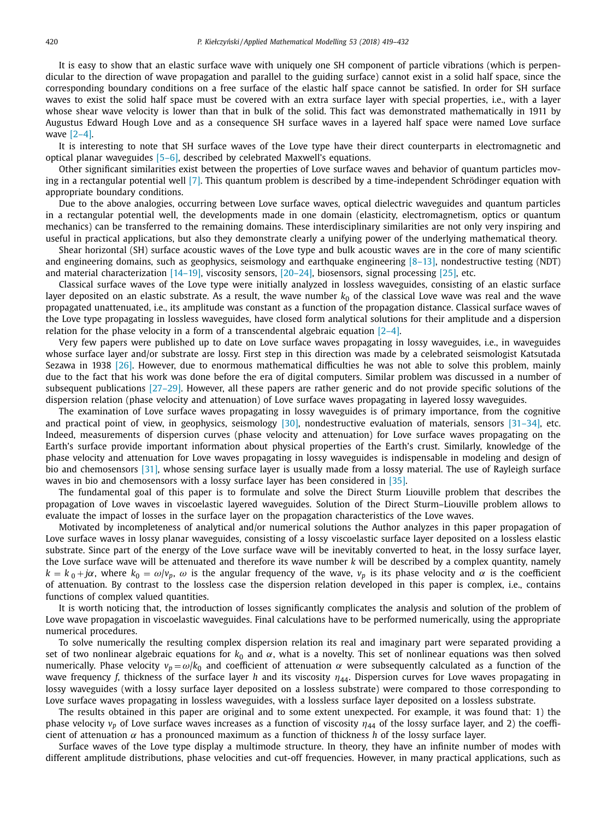It is easy to show that an elastic surface wave with uniquely one SH component of particle vibrations (which is perpendicular to the direction of wave propagation and parallel to the guiding surface) cannot exist in a solid half space, since the corresponding boundary conditions on a free surface of the elastic half space cannot be satisfied. In order for SH surface waves to exist the solid half space must be covered with an extra surface layer with special properties, i.e., with a layer whose shear wave velocity is lower than that in bulk of the solid. This fact was demonstrated mathematically in 1911 by Augustus Edward Hough Love and as a consequence SH surface waves in a layered half space were named Love surface wave [\[2–4\].](#page-12-0)

It is interesting to note that SH surface waves of the Love type have their direct counterparts in electromagnetic and optical planar waveguides [\[5–6\],](#page-12-0) described by celebrated Maxwell's equations.

Other significant similarities exist between the properties of Love surface waves and behavior of quantum particles moving in a rectangular potential well [\[7\].](#page-12-0) This quantum problem is described by a time-independent Schrödinger equation with appropriate boundary conditions.

Due to the above analogies, occurring between Love surface waves, optical dielectric waveguides and quantum particles in a rectangular potential well, the developments made in one domain (elasticity, electromagnetism, optics or quantum mechanics) can be transferred to the remaining domains. These interdisciplinary similarities are not only very inspiring and useful in practical applications, but also they demonstrate clearly a unifying power of the underlying mathematical theory.

Shear horizontal (SH) surface acoustic waves of the Love type and bulk acoustic waves are in the core of many scientific and engineering domains, such as geophysics, seismology and earthquake engineering  $[8-13]$ , nondestructive testing (NDT) and material characterization [\[14–19\],](#page-12-0) viscosity sensors, [\[20–24\],](#page-12-0) biosensors, signal processing [\[25\],](#page-13-0) etc.

Classical surface waves of the Love type were initially analyzed in lossless waveguides, consisting of an elastic surface layer deposited on an elastic substrate. As a result, the wave number  $k_0$  of the classical Love wave was real and the wave propagated unattenuated, i.e., its amplitude was constant as a function of the propagation distance. Classical surface waves of the Love type propagating in lossless waveguides, have closed form analytical solutions for their amplitude and a dispersion relation for the phase velocity in a form of a transcendental algebraic equation  $[2-4]$ .

Very few papers were published up to date on Love surface waves propagating in lossy waveguides, i.e., in waveguides whose surface layer and/or substrate are lossy. First step in this direction was made by a celebrated seismologist Katsutada Sezawa in 1938 [\[26\].](#page-13-0) However, due to enormous mathematical difficulties he was not able to solve this problem, mainly due to the fact that his work was done before the era of digital computers. Similar problem was discussed in a number of subsequent publications [\[27–29\].](#page-13-0) However, all these papers are rather generic and do not provide specific solutions of the dispersion relation (phase velocity and attenuation) of Love surface waves propagating in layered lossy waveguides.

The examination of Love surface waves propagating in lossy waveguides is of primary importance, from the cognitive and practical point of view, in geophysics, seismology [\[30\],](#page-13-0) nondestructive evaluation of materials, sensors [\[31–34\],](#page-13-0) etc. Indeed, measurements of dispersion curves (phase velocity and attenuation) for Love surface waves propagating on the Earth's surface provide important information about physical properties of the Earth's crust. Similarly, knowledge of the phase velocity and attenuation for Love waves propagating in lossy waveguides is indispensable in modeling and design of bio and chemosensors [\[31\],](#page-13-0) whose sensing surface layer is usually made from a lossy material. The use of Rayleigh surface waves in bio and chemosensors with a lossy surface layer has been considered in [\[35\].](#page-13-0)

The fundamental goal of this paper is to formulate and solve the Direct Sturm Liouville problem that describes the propagation of Love waves in viscoelastic layered waveguides. Solution of the Direct Sturm–Liouville problem allows to evaluate the impact of losses in the surface layer on the propagation characteristics of the Love waves.

Motivated by incompleteness of analytical and/or numerical solutions the Author analyzes in this paper propagation of Love surface waves in lossy planar waveguides, consisting of a lossy viscoelastic surface layer deposited on a lossless elastic substrate. Since part of the energy of the Love surface wave will be inevitably converted to heat, in the lossy surface layer, the Love surface wave will be attenuated and therefore its wave number *k* will be described by a complex quantity, namely  $k = k_0 + j\alpha$ , where  $k_0 = \omega/v_p$ ,  $\omega$  is the angular frequency of the wave,  $v_p$  is its phase velocity and  $\alpha$  is the coefficient of attenuation. By contrast to the lossless case the dispersion relation developed in this paper is complex, i.e., contains functions of complex valued quantities.

It is worth noticing that, the introduction of losses significantly complicates the analysis and solution of the problem of Love wave propagation in viscoelastic waveguides. Final calculations have to be performed numerically, using the appropriate numerical procedures.

To solve numerically the resulting complex dispersion relation its real and imaginary part were separated providing a set of two nonlinear algebraic equations for *k*<sup>0</sup> and α, what is a novelty. This set of nonlinear equations was then solved numerically. Phase velocity  $v_p = \omega/k_0$  and coefficient of attenuation α were subsequently calculated as a function of the wave frequency *f*, thickness of the surface layer *h* and its viscosity  $η<sub>44</sub>$ . Dispersion curves for Love waves propagating in lossy waveguides (with a lossy surface layer deposited on a lossless substrate) were compared to those corresponding to Love surface waves propagating in lossless waveguides, with a lossless surface layer deposited on a lossless substrate.

The results obtained in this paper are original and to some extent unexpected. For example, it was found that: 1) the phase velocity *v<sub>p</sub>* of Love surface waves increases as a function of viscosity η<sub>44</sub> of the lossy surface layer, and 2) the coefficient of attenuation  $\alpha$  has a pronounced maximum as a function of thickness *h* of the lossy surface layer.

Surface waves of the Love type display a multimode structure. In theory, they have an infinite number of modes with different amplitude distributions, phase velocities and cut-off frequencies. However, in many practical applications, such as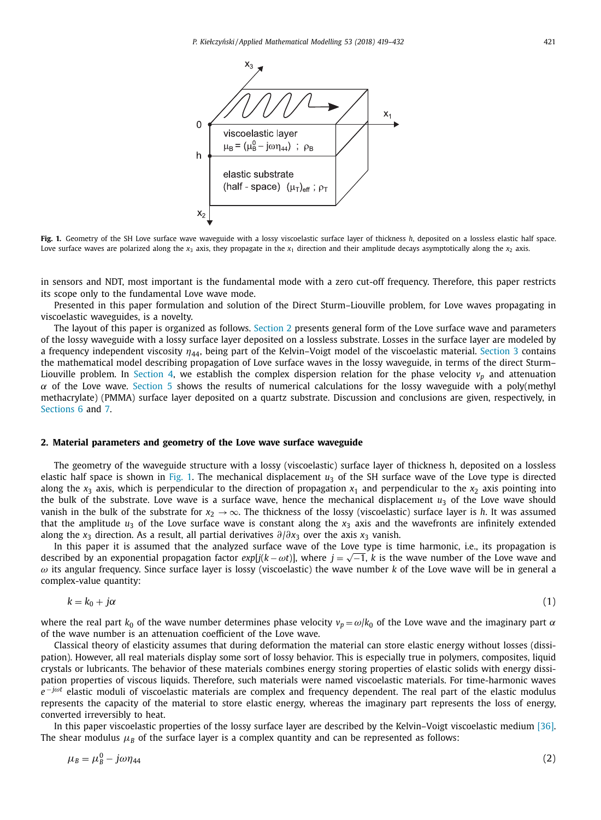<span id="page-2-0"></span>

**Fig. 1.** Geometry of the SH Love surface wave waveguide with a lossy viscoelastic surface layer of thickness *h*, deposited on a lossless elastic half space. Love surface waves are polarized along the  $x_3$  axis, they propagate in the  $x_1$  direction and their amplitude decays asymptotically along the  $x_2$  axis.

in sensors and NDT, most important is the fundamental mode with a zero cut-off frequency. Therefore, this paper restricts its scope only to the fundamental Love wave mode.

Presented in this paper formulation and solution of the Direct Sturm–Liouville problem, for Love waves propagating in viscoelastic waveguides, is a novelty.

The layout of this paper is organized as follows. Section 2 presents general form of the Love surface wave and parameters of the lossy waveguide with a lossy surface layer deposited on a lossless substrate. Losses in the surface layer are modeled by a frequency independent viscosity  $\eta_{44}$ , being part of the Kelvin–Voigt model of the viscoelastic material. [Section](#page-3-0) 3 contains the mathematical model describing propagation of Love surface waves in the lossy waveguide, in terms of the direct Sturm– Liouville problem. In [Section](#page-5-0) 4, we establish the complex dispersion relation for the phase velocity  $v_p$  and attenuation  $\alpha$  of the Love wave. [Section](#page-6-0) 5 shows the results of numerical calculations for the lossy waveguide with a poly(methyl methacrylate) (PMMA) surface layer deposited on a quartz substrate. Discussion and conclusions are given, respectively, in [Sections](#page-10-0) 6 and [7.](#page-11-0)

#### **2. Material parameters and geometry of the Love wave surface waveguide**

The geometry of the waveguide structure with a lossy (viscoelastic) surface layer of thickness h, deposited on a lossless elastic half space is shown in Fig. 1. The mechanical displacement *u*<sup>3</sup> of the SH surface wave of the Love type is directed along the  $x_3$  axis, which is perpendicular to the direction of propagation  $x_1$  and perpendicular to the  $x_2$  axis pointing into the bulk of the substrate. Love wave is a surface wave, hence the mechanical displacement  $u_3$  of the Love wave should vanish in the bulk of the substrate for  $x_2 \rightarrow \infty$ . The thickness of the lossy (viscoelastic) surface layer is *h*. It was assumed that the amplitude  $u_3$  of the Love surface wave is constant along the  $x_3$  axis and the wavefronts are infinitely extended along the *x*<sup>3</sup> direction. As a result, all partial derivatives ∂/∂*x*<sup>3</sup> over the axis *x*<sup>3</sup> vanish.

In this paper it is assumed that the analyzed surface wave of the Love type is time harmonic, i.e., its propagation is described by an exponential propagation factor *exp*[ $j(k - \omega t)$ ], where  $j = \sqrt{-1}$ , *k* is the wave number of the Love wave and ω its angular frequency. Since surface layer is lossy (viscoelastic) the wave number *k* of the Love wave will be in general a complex-value quantity:

$$
k = k_0 + j\alpha \tag{1}
$$

where the real part  $k_0$  of the wave number determines phase velocity  $v_p = \omega/k_0$  of the Love wave and the imaginary part  $\alpha$ of the wave number is an attenuation coefficient of the Love wave.

Classical theory of elasticity assumes that during deformation the material can store elastic energy without losses (dissipation). However, all real materials display some sort of lossy behavior. This is especially true in polymers, composites, liquid crystals or lubricants. The behavior of these materials combines energy storing properties of elastic solids with energy dissipation properties of viscous liquids. Therefore, such materials were named viscoelastic materials. For time-harmonic waves *e* <sup>− *jωt*</sup> elastic moduli of viscoelastic materials are complex and frequency dependent. The real part of the elastic modulus represents the capacity of the material to store elastic energy, whereas the imaginary part represents the loss of energy, converted irreversibly to heat.

In this paper viscoelastic properties of the lossy surface layer are described by the Kelvin–Voigt viscoelastic medium [\[36\].](#page-13-0) The shear modulus  $\mu_B$  of the surface layer is a complex quantity and can be represented as follows:

$$
\mu_B = \mu_B^0 - j\omega \eta_{44} \tag{2}
$$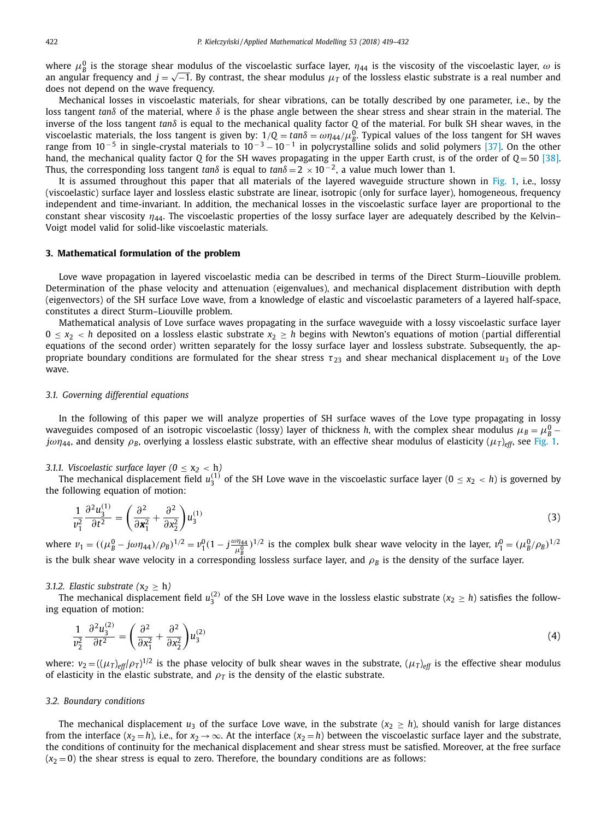<span id="page-3-0"></span>where  $\mu_B^0$  is the storage shear modulus of the viscoelastic surface layer,  $\eta_{44}$  is the viscosity of the viscoelastic layer,  $\omega$  is an angular frequency and *<sup>j</sup>* <sup>=</sup> √−1. By contrast, the shear modulus <sup>μ</sup>*<sup>T</sup>* of the lossless elastic substrate is <sup>a</sup> real number and does not depend on the wave frequency.

Mechanical losses in viscoelastic materials, for shear vibrations, can be totally described by one parameter, i.e., by the loss tangent *tan*δ of the material, where δ is the phase angle between the shear stress and shear strain in the material. The inverse of the loss tangent *tan*δ is equal to the mechanical quality factor *Q* of the material. For bulk SH shear waves, in the viscoelastic materials, the loss tangent is given by:  $1/Q = tan\delta = \omega \eta_{44}/\mu_B^0$ . Typical values of the loss tangent for SH waves range from  $10^{-5}$  in single-crystal materials to  $10^{-3} - 10^{-1}$  in polycrystalline solids and solid polymers [\[37\].](#page-13-0) On the other hand, the mechanical quality factor *Q* for the SH waves propagating in the upper Earth crust, is of the order of *Q* = 50 [\[38\].](#page-13-0) Thus, the corresponding loss tangent *tan*δ is equal to *tan*δ <sup>=</sup> <sup>2</sup> <sup>×</sup> <sup>10</sup> <sup>−</sup> 2, <sup>a</sup> value much lower than 1.

It is assumed throughout this paper that all materials of the layered waveguide structure shown in [Fig.](#page-2-0) 1, i.e., lossy (viscoelastic) surface layer and lossless elastic substrate are linear, isotropic (only for surface layer), homogeneous, frequency independent and time-invariant. In addition, the mechanical losses in the viscoelastic surface layer are proportional to the constant shear viscosity  $\eta_{44}$ . The viscoelastic properties of the lossy surface layer are adequately described by the Kelvin– Voigt model valid for solid-like viscoelastic materials.

#### **3. Mathematical formulation of the problem**

Love wave propagation in layered viscoelastic media can be described in terms of the Direct Sturm–Liouville problem. Determination of the phase velocity and attenuation (eigenvalues), and mechanical displacement distribution with depth (eigenvectors) of the SH surface Love wave, from a knowledge of elastic and viscoelastic parameters of a layered half-space, constitutes a direct Sturm–Liouville problem.

Mathematical analysis of Love surface waves propagating in the surface waveguide with a lossy viscoelastic surface layer  $0 \le x_2$  < *h* deposited on a lossless elastic substrate  $x_2 \ge h$  begins with Newton's equations of motion (partial differential equations of the second order) written separately for the lossy surface layer and lossless substrate. Subsequently, the appropriate boundary conditions are formulated for the shear stress  $\tau_{23}$  and shear mechanical displacement  $u_3$  of the Love wave.

#### *3.1. Governing differential equations*

In the following of this paper we will analyze properties of SH surface waves of the Love type propagating in lossy waveguides composed of an isotropic viscoelastic (lossy) layer of thickness *h*, with the complex shear modulus  $\mu_B = \mu_B^0$  $j\omega\eta$ <sub>44</sub>, and density  $\rho_B$ , overlying a lossless elastic substrate, with an effective shear modulus of elasticity ( $\mu_T$ )<sub>eff</sub>, see [Fig.](#page-2-0) 1.

### 3.1.1. *Viscoelastic surface layer*  $(0 \le x_2 < h)$

The mechanical displacement field  $u_3^{(1)}$  of the SH Love wave in the viscoelastic surface layer ( $0 \leq x_2 < h$ ) is governed by the following equation of motion:

$$
\frac{1}{v_1^2} \frac{\partial^2 u_3^{(1)}}{\partial t^2} = \left( \frac{\partial^2}{\partial \mathbf{x}_1^2} + \frac{\partial^2}{\partial \mathbf{x}_2^2} \right) u_3^{(1)} \tag{3}
$$

where  $v_1 = ((\mu_B^0 - j\omega\eta_{44})/\rho_B)^{1/2} = v_1^0(1 - j\frac{\omega\eta_{44}}{\mu_B^0})^{1/2}$  is the complex bulk shear wave velocity in the layer,  $v_1^0 = (\mu_B^0/\rho_B)^{1/2}$ is the bulk shear wave velocity in a corresponding lossless surface layer, and  $\rho_B$  is the density of the surface layer.

#### *3.1.2. Elastic substrate*  $(x_2 \geq h)$

The mechanical displacement field  $u_3^{(2)}$  of the SH Love wave in the lossless elastic substrate ( $x_2 \geq h$ ) satisfies the following equation of motion:

$$
\frac{1}{v_2^2} \frac{\partial^2 u_3^{(2)}}{\partial t^2} = \left(\frac{\partial^2}{\partial x_1^2} + \frac{\partial^2}{\partial x_2^2}\right) u_3^{(2)}\tag{4}
$$

where:  $v_2 = ((\mu_T)_{eff}/\rho_T)^{1/2}$  is the phase velocity of bulk shear waves in the substrate,  $(\mu_T)_{eff}$  is the effective shear modulus of elasticity in the elastic substrate, and  $\rho_T$  is the density of the elastic substrate.

#### *3.2. Boundary conditions*

The mechanical displacement  $u_3$  of the surface Love wave, in the substrate ( $x_2 \ge h$ ), should vanish for large distances from the interface ( $x_2 = h$ ), i.e., for  $x_2 \to \infty$ . At the interface ( $x_2 = h$ ) between the viscoelastic surface layer and the substrate, the conditions of continuity for the mechanical displacement and shear stress must be satisfied. Moreover, at the free surface  $(x_2 = 0)$  the shear stress is equal to zero. Therefore, the boundary conditions are as follows: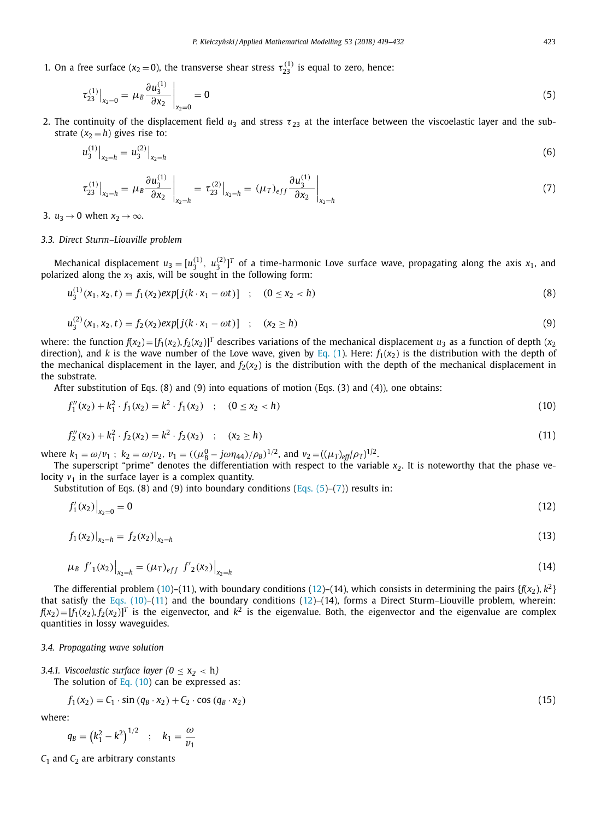<span id="page-4-0"></span>1. On a free surface  $(x_2 = 0)$ , the transverse shear stress  $\tau_{23}^{(1)}$  is equal to zero, hence:

$$
\tau_{23}^{(1)}\Big|_{x_2=0} = \mu_B \frac{\partial u_3^{(1)}}{\partial x_2}\Big|_{x_2=0} = 0 \tag{5}
$$

2. The continuity of the displacement field  $u_3$  and stress  $\tau_{23}$  at the interface between the viscoelastic layer and the substrate  $(x_2 = h)$  gives rise to:

$$
u_3^{(1)}\big|_{x_2=h} = u_3^{(2)}\big|_{x_2=h} \tag{6}
$$

$$
\left.\tau_{23}^{(1)}\right|_{x_2=h} = \left.\mu_B \frac{\partial u_3^{(1)}}{\partial x_2}\right|_{x_2=h} = \left.\tau_{23}^{(2)}\right|_{x_2=h} = \left(\mu_T\right)_{eff} \frac{\partial u_3^{(1)}}{\partial x_2}\right|_{x_2=h}
$$
\n(7)

3.  $u_3 \rightarrow 0$  when  $x_2 \rightarrow \infty$ .

*u*(1)

#### *3.3. Direct Sturm–Liouville problem*

Mechanical displacement  $u_3 = [u_3^{(1)}, u_3^{(2)}]^T$  of a time-harmonic Love surface wave, propagating along the axis  $x_1$ , and polarized along the  $x_3$  axis, will be sought in the following form:

$$
u_3^{(1)}(x_1, x_2, t) = f_1(x_2) \exp[j(k \cdot x_1 - \omega t)] \quad ; \quad (0 \le x_2 < h) \tag{8}
$$

$$
u_3^{(2)}(x_1, x_2, t) = f_2(x_2) \exp[j(k \cdot x_1 - \omega t)] \quad ; \quad (x_2 \ge h)
$$
 (9)

where: the function  $f(x_2) = [f_1(x_2), f_2(x_2)]^T$  describes variations of the mechanical displacement  $u_3$  as a function of depth ( $x_2$ direction), and *k* is the wave number of the Love wave, given by [Eq.](#page-2-0) (1). Here:  $f_1(x_2)$  is the distribution with the depth of the mechanical displacement in the layer, and  $f_2(x_2)$  is the distribution with the depth of the mechanical displacement in the substrate.

After substitution of Eqs. (8) and (9) into equations of motion (Eqs. (3) and (4)), one obtains:

$$
f_1''(x_2) + k_1^2 \cdot f_1(x_2) = k^2 \cdot f_1(x_2) \quad ; \quad (0 \le x_2 < h) \tag{10}
$$

$$
f_2''(x_2) + k_1^2 \cdot f_2(x_2) = k^2 \cdot f_2(x_2) \quad ; \quad (x_2 \ge h)
$$
\n(11)

where  $k_1 = \omega/v_1$ ;  $k_2 = \omega/v_2$ ,  $v_1 = ((\mu_B^0 - j\omega \eta_{44})/\rho_B)^{1/2}$ , and  $v_2 = ((\mu_T)_{eff}/\rho_T)^{1/2}$ .

The superscript "prime" denotes the differentiation with respect to the variable x<sub>2</sub>. It is noteworthy that the phase velocity  $v_1$  in the surface layer is a complex quantity.

Substitution of Eqs. (8) and (9) into boundary conditions (Eqs.  $(5)-(7)$ ) results in:

$$
f_1'(x_2)\big|_{x_2=0} = 0\tag{12}
$$

$$
f_1(x_2)|_{x_2=h} = f_2(x_2)|_{x_2=h}
$$
\n(13)

$$
\mu_B f'_1(x_2)|_{x_2=h} = (\mu_T)_{eff} f'_2(x_2)|_{x_2=h}
$$
\n(14)

The differential problem (10)–(11), with boundary conditions (12)–(14), which consists in determining the pairs  $\{f(x_2), k^2\}$ that satisfy the Eqs. (10)–(11) and the boundary conditions (12)–(14), forms a Direct Sturm–Liouville problem, wherein:  $f(x_2) = [f_1(x_2), f_2(x_2)]^T$  is the eigenvector, and  $k^2$  is the eigenvalue. Both, the eigenvector and the eigenvalue are complex quantities in lossy waveguides.

#### *3.4. Propagating wave solution*

3.4.1. *Viscoelastic surface layer*  $(0 \le x_2 < h)$ The solution of Eq.  $(10)$  can be expressed as:

$$
f_1(x_2) = C_1 \cdot \sin (q_B \cdot x_2) + C_2 \cdot \cos (q_B \cdot x_2)
$$
\n
$$
(15)
$$

where:

$$
q_B = (k_1^2 - k^2)^{1/2} \quad ; \quad k_1 = \frac{\omega}{v_1}
$$

*C*<sub>1</sub> and *C*<sub>2</sub> are arbitrary constants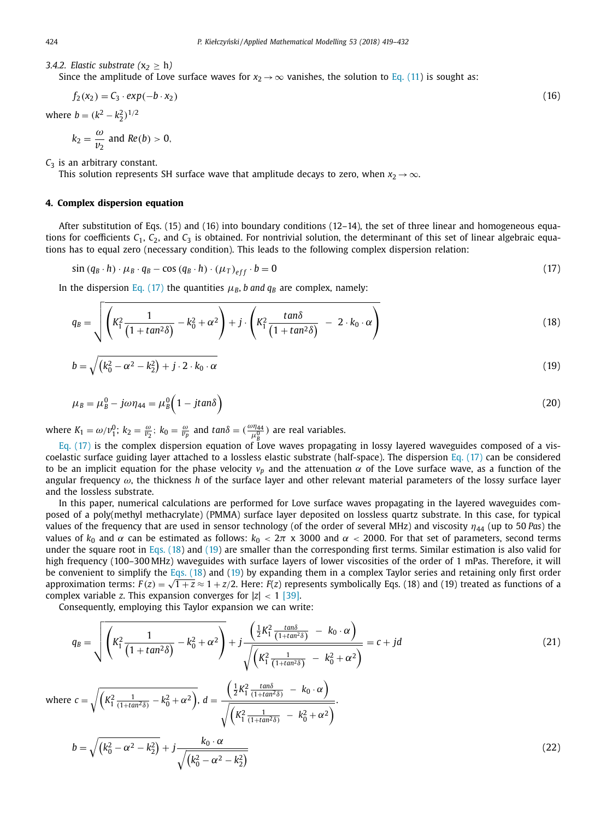*3.4.2. Elastic substrate*  $(x_2 \ge h)$ 

Since the amplitude of Love surface waves for  $x_2 \rightarrow \infty$  vanishes, the solution to Eq. [\(11\)](#page-4-0) is sought as:

$$
f_2(x_2) = C_3 \cdot exp(-b \cdot x_2) \tag{16}
$$

where  $b = (k^2 - k_2^2)^{1/2}$ 

$$
k_2 = \frac{\omega}{v_2}
$$
 and  $Re(b) > 0$ ,

*C*<sup>3</sup> is an arbitrary constant.

This solution represents SH surface wave that amplitude decays to zero, when  $x_2 \rightarrow \infty$ .

#### **4. Complex dispersion equation**

After substitution of Eqs. (15) and (16) into boundary conditions (12–14), the set of three linear and homogeneous equations for coefficients  $C_1$ ,  $C_2$ , and  $C_3$  is obtained. For nontrivial solution, the determinant of this set of linear algebraic equations has to equal zero (necessary condition). This leads to the following complex dispersion relation:

 $\sin (q_B \cdot h) \cdot \mu_B \cdot q_B - \cos (q_B \cdot h) \cdot (\mu_T)_{eff} \cdot b = 0$  (17)

In the dispersion Eq. (17) the quantities  $\mu_B$ , *b* and  $q_B$  are complex, namely:

$$
q_B = \sqrt{\left(K_1^2 \frac{1}{\left(1 + \tan^2 \delta\right)} - k_0^2 + \alpha^2\right) + j \cdot \left(K_1^2 \frac{\tan \delta}{\left(1 + \tan^2 \delta\right)} - 2 \cdot k_0 \cdot \alpha\right)}
$$
(18)

$$
b = \sqrt{\left(k_0^2 - \alpha^2 - k_2^2\right) + j \cdot 2 \cdot k_0 \cdot \alpha} \tag{19}
$$

$$
\mu_B = \mu_B^0 - j\omega\eta_{44} = \mu_B^0 \left(1 - j\tan\delta\right) \tag{20}
$$

where  $K_1 = \omega/v_1^0$ ;  $k_2 = \frac{\omega}{v_2}$ ;  $k_0 = \frac{\omega}{v_p}$  and  $tan\delta = (\frac{\omega\eta_{44}}{\mu_g^0})$  are real variables.

 $g_{\rm B}$  (17) is the complex dispersion equation of Love waves propagating in lossy layered waveguides composed of a viscoelastic surface guiding layer attached to a lossless elastic substrate (half-space). The dispersion Eq. (17) can be considered to be an implicit equation for the phase velocity  $ν_p$  and the attenuation  $α$  of the Love surface wave, as a function of the angular frequency ω, the thickness *h* of the surface layer and other relevant material parameters of the lossy surface layer and the lossless substrate.

In this paper, numerical calculations are performed for Love surface waves propagating in the layered waveguides composed of a poly(methyl methacrylate) (PMMA) surface layer deposited on lossless quartz substrate. In this case, for typical values of the frequency that are used in sensor technology (of the order of several MHz) and viscosity  $\eta_{44}$  (up to 50 Pas) the values of  $k_0$  and  $\alpha$  can be estimated as follows:  $k_0 < 2\pi$  x 3000 and  $\alpha$  < 2000. For that set of parameters, second terms under the square root in Eqs. (18) and (19) are smaller than the corresponding first terms. Similar estimation is also valid for high frequency (100-300 MHz) waveguides with surface layers of lower viscosities of the order of 1 mPas. Therefore, it will be convenient to simplify the Eqs.  $(18)$  and  $(19)$  by expanding them in a complex Taylor series and retaining only first order approximation terms:  $F(z) = \sqrt{1+z} \approx 1 + \frac{z}{2}$ . Here:  $F(z)$  represents symbolically Eqs. (18) and (19) treated as functions of a complex variable *z*. This expansion converges for  $|z| < 1$  [\[39\].](#page-13-0)

Consequently, employing this Taylor expansion we can write:

$$
q_B = \sqrt{\left(K_1^2 \frac{1}{\left(1 + \tan^2 \delta\right)} - k_0^2 + \alpha^2\right)} + j \frac{\left(\frac{1}{2} K_1^2 \frac{\tan \delta}{\left(1 + \tan^2 \delta\right)} - k_0 \cdot \alpha\right)}{\sqrt{\left(K_1^2 \frac{1}{\left(1 + \tan^2 \delta\right)} - k_0^2 + \alpha^2\right)}} = c + jd
$$
\n(21)

where  $c = \sqrt{\left(K_1^2 \frac{1}{(1+tan^2\delta)} - k_0^2 + \alpha^2\right)}, d =$  $\left(\frac{1}{2}K_1^2\frac{\tan\delta}{(1+\tan^2\delta)} - k_0 \cdot \alpha\right)$  $\frac{1}{\sqrt{(K_1^2 \frac{1}{(1+tan^2\delta)} - k_0^2 + \alpha^2)}}$ 

$$
b = \sqrt{\left(k_0^2 - \alpha^2 - k_2^2\right)} + j \frac{k_0 \cdot \alpha}{\sqrt{\left(k_0^2 - \alpha^2 - k_2^2\right)}}
$$
\n(22)

<span id="page-5-0"></span>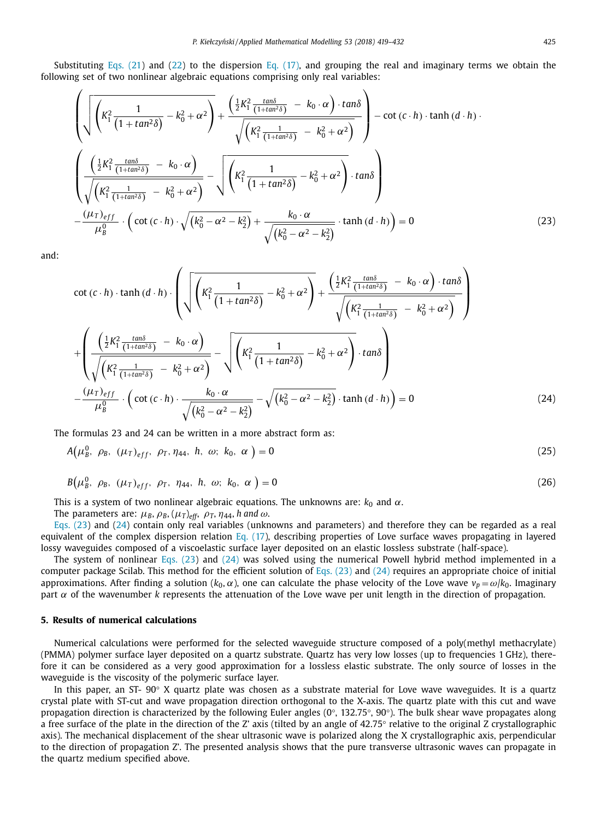<span id="page-6-0"></span>Substituting [Eqs.](#page-5-0) (21) and [\(22\)](#page-5-0) to the dispersion Eq. [\(17\),](#page-5-0) and grouping the real and imaginary terms we obtain the following set of two nonlinear algebraic equations comprising only real variables:

$$
\left(\sqrt{\left(K_{1}^{2}\frac{1}{\left(1+\tan^{2}\delta\right)}-k_{0}^{2}+\alpha^{2}\right)}+\frac{\left(\frac{1}{2}K_{1}^{2}\frac{\tan\delta}{\left(1+\tan^{2}\delta\right)}-k_{0}\cdot\alpha\right)\cdot\tan\delta}{\sqrt{\left(K_{1}^{2}\frac{1}{\left(1+\tan^{2}\delta\right)}-k_{0}^{2}+\alpha^{2}\right)}}\right)-\cot\left(c\cdot h\right)\cdot\tanh\left(d\cdot h\right).
$$
\n
$$
\left(\frac{\left(\frac{1}{2}K_{1}^{2}\frac{\tan\delta}{\left(1+\tan^{2}\delta\right)}-k_{0}\cdot\alpha\right)}{\sqrt{\left(K_{1}^{2}\frac{1}{\left(1+\tan^{2}\delta\right)}-k_{0}^{2}+\alpha^{2}\right)}}-\sqrt{\left(K_{1}^{2}\frac{1}{\left(1+\tan^{2}\delta\right)}-k_{0}^{2}+\alpha^{2}\right)}\cdot\tan\delta\right)
$$
\n
$$
-\frac{\left(\mu_{T}\right)_{eff}}{\mu_{B}^{0}}\cdot\left(\cot\left(c\cdot h\right)\cdot\sqrt{\left(k_{0}^{2}-\alpha^{2}-k_{2}^{2}\right)}+\frac{k_{0}\cdot\alpha}{\sqrt{\left(k_{0}^{2}-\alpha^{2}-k_{2}^{2}\right)}}\cdot\tanh\left(d\cdot h\right)\right)=0
$$
\n(23)

and:

$$
\cot (c \cdot h) \cdot \tanh (d \cdot h) \cdot \left( \sqrt{\left( K_1^2 \frac{1}{\left( 1 + \tan^2 \delta \right)} - k_0^2 + \alpha^2 \right)} + \frac{\left( \frac{1}{2} K_1^2 \frac{\tan \delta}{\left( 1 + \tan^2 \delta \right)} - k_0 \cdot \alpha \right) \cdot \tan \delta}{\sqrt{\left( K_1^2 \frac{1}{\left( 1 + \tan^2 \delta \right)} - k_0^2 + \alpha^2 \right)}} \right)
$$
  
+ 
$$
\left( \frac{\left( \frac{1}{2} K_1^2 \frac{\tan \delta}{\left( 1 + \tan^2 \delta \right)} - k_0 \cdot \alpha \right)}{\sqrt{\left( K_1^2 \frac{1}{\left( 1 + \tan^2 \delta \right)} - k_0^2 + \alpha^2 \right)}} - \sqrt{\left( K_1^2 \frac{1}{\left( 1 + \tan^2 \delta \right)} - k_0^2 + \alpha^2 \right)} \cdot \tan \delta \right)
$$
  
- 
$$
\frac{(\mu_T)_{eff}}{\mu_B^0} \cdot \left( \cot (c \cdot h) \cdot \frac{k_0 \cdot \alpha}{\sqrt{\left( k_0^2 - \alpha^2 - k_2^2 \right)}} - \sqrt{\left( k_0^2 - \alpha^2 - k_2^2 \right)} \cdot \tanh (d \cdot h) \right) = 0
$$
(24)

The formulas 23 and 24 can be written in a more abstract form as:

$$
A(\mu_B^0, \ \rho_B, \ (\mu_T)_{eff}, \ \rho_T, \eta_{44}, \ h, \ \omega; \ k_0, \ \alpha \ ) = 0 \tag{25}
$$

$$
B(\mu_B^0, \ \rho_B, \ (\mu_T)_{eff}, \ \rho_T, \ \eta_{44}, \ h, \ \omega; \ k_0, \ \alpha \ ) = 0 \tag{26}
$$

This is a system of two nonlinear algebraic equations. The unknowns are:  $k_0$  and  $\alpha$ .

The parameters are:  $\mu_B$ ,  $\rho_B$ ,  $(\mu_T)_{eff}$ ,  $\rho_T$ ,  $\eta_{44}$ , *h* and  $\omega$ .

Eqs. (23) and (24) contain only real variables (unknowns and parameters) and therefore they can be regarded as a real equivalent of the complex dispersion relation Eq. [\(17\)](#page-5-0), describing properties of Love surface waves propagating in layered lossy waveguides composed of a viscoelastic surface layer deposited on an elastic lossless substrate (half-space).

The system of nonlinear Eqs. (23) and (24) was solved using the numerical Powell hybrid method implemented in a computer package Scilab. This method for the efficient solution of Eqs.  $(23)$  and  $(24)$  requires an appropriate choice of initial approximations. After finding a solution ( $k_0$ ,  $\alpha$ ), one can calculate the phase velocity of the Love wave  $v_p = \omega/k_0$ . Imaginary part  $\alpha$  of the wavenumber  $k$  represents the attenuation of the Love wave per unit length in the direction of propagation.

#### **5. Results of numerical calculations**

Numerical calculations were performed for the selected waveguide structure composed of a poly(methyl methacrylate) (PMMA) polymer surface layer deposited on a quartz substrate. Quartz has very low losses (up to frequencies 1 GHz), therefore it can be considered as a very good approximation for a lossless elastic substrate. The only source of losses in the waveguide is the viscosity of the polymeric surface layer.

In this paper, an ST- 90° X quartz plate was chosen as a substrate material for Love wave waveguides. It is a quartz crystal plate with ST-cut and wave propagation direction orthogonal to the X-axis. The quartz plate with this cut and wave propagation direction is characterized by the following Euler angles (0°, 132.75°, 90°). The bulk shear wave propagates along a free surface of the plate in the direction of the Z' axis (tilted by an angle of 42.75° relative to the original Z crystallographic axis). The mechanical displacement of the shear ultrasonic wave is polarized along the X crystallographic axis, perpendicular to the direction of propagation Z'. The presented analysis shows that the pure transverse ultrasonic waves can propagate in the quartz medium specified above.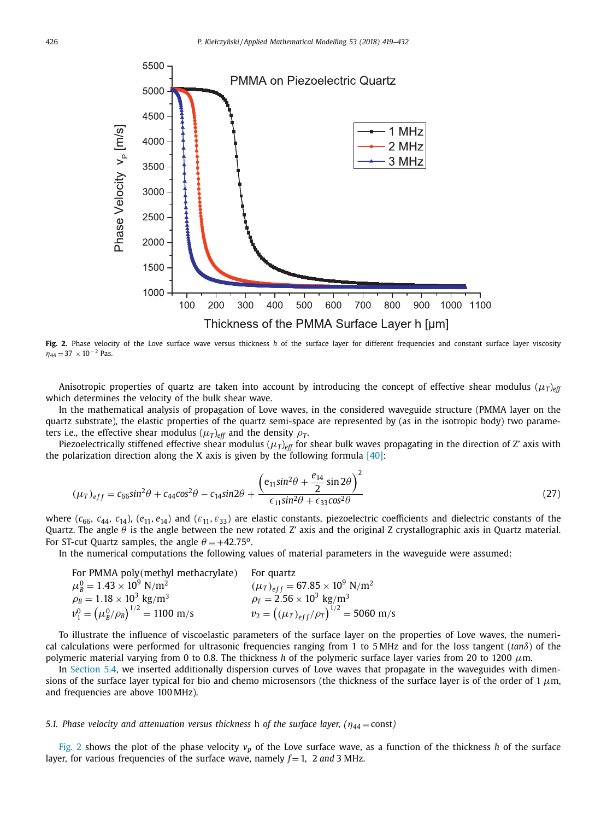<span id="page-7-0"></span>

**Fig. 2.** Phase velocity of the Love surface wave versus thickness *h* of the surface layer for different frequencies and constant surface layer viscosity  $\eta_{44} = 37 \times 10^{-2}$  Pas.

Anisotropic properties of quartz are taken into account by introducing the concept of effective shear modulus  $(\mu_T)_{eff}$ which determines the velocity of the bulk shear wave.

In the mathematical analysis of propagation of Love waves, in the considered waveguide structure (PMMA layer on the quartz substrate), the elastic properties of the quartz semi-space are represented by (as in the isotropic body) two parameters i.e., the effective shear modulus ( $\mu_T$ )<sub>eff</sub> and the density  $\rho_T$ .

Piezoelectrically stiffened effective shear modulus  $(\mu_T)_{eff}$  for shear bulk waves propagating in the direction of Z' axis with the polarization direction along the X axis is given by the following formula  $[40]$ :

$$
(\mu_T)_{eff} = c_{66} \sin^2 \theta + c_{44} \cos^2 \theta - c_{14} \sin 2\theta + \frac{\left(e_{11} \sin^2 \theta + \frac{e_{14}}{2} \sin 2\theta\right)^2}{\epsilon_{11} \sin^2 \theta + \epsilon_{33} \cos^2 \theta}
$$
(27)

where ( $c_{66}$ ,  $c_{44}$ ,  $c_{14}$ ), ( $e_{11}$ ,  $e_{14}$ ) and ( $\varepsilon_{11}$ ,  $\varepsilon_{33}$ ) are elastic constants, piezoelectric coefficients and dielectric constants of the Quartz. The angle  $\theta$  is the angle between the new rotated Z' axis and the original Z crystallographic axis in Quartz material. For ST-cut Quartz samples, the angle  $\theta = +42.75^{\circ}$ .

In the numerical computations the following values of material parameters in the waveguide were assumed:

| For PMMA poly(methyl methacrylate)                  | For quartz                                              |
|-----------------------------------------------------|---------------------------------------------------------|
| $\mu_{\rm B}^0 = 1.43 \times 10^9$ N/m <sup>2</sup> | $(\mu_T)_{eff} = 67.85 \times 10^9$ N/m <sup>2</sup>    |
| $\rho_B = 1.18 \times 10^3$ kg/m <sup>3</sup>       | $\rho_T = 2.56 \times 10^3 \text{ kg/m}^3$              |
| $v_1^0 = (\mu_B^0/\rho_B)^{1/2} = 1100 \text{ m/s}$ | $v_2 = ((\mu_T)_{eff}/\rho_T)^{1/2} = 5060 \text{ m/s}$ |

To illustrate the influence of viscoelastic parameters of the surface layer on the properties of Love waves, the numerical calculations were performed for ultrasonic frequencies ranging from 1 to 5 MHz and for the loss tangent (*tan*δ) of the polymeric material varying from 0 to 0.8. The thickness *h* of the polymeric surface layer varies from 20 to 1200 μm.

In [Section](#page-8-0) 5.4, we inserted additionally dispersion curves of Love waves that propagate in the waveguides with dimensions of the surface layer typical for bio and chemo microsensors (the thickness of the surface layer is of the order of 1  $\mu$ m, and frequencies are above 100 MHz).

#### *5.1. Phase velocity and attenuation versus thickness* <sup>h</sup> *of the surface layer, (*η*<sup>44</sup>* <sup>=</sup> const*)*

Fig. 2 shows the plot of the phase velocity  $v_p$  of the Love surface wave, as a function of the thickness *h* of the surface layer, for various frequencies of the surface wave, namely  $f = 1$ , 2 and 3 MHz.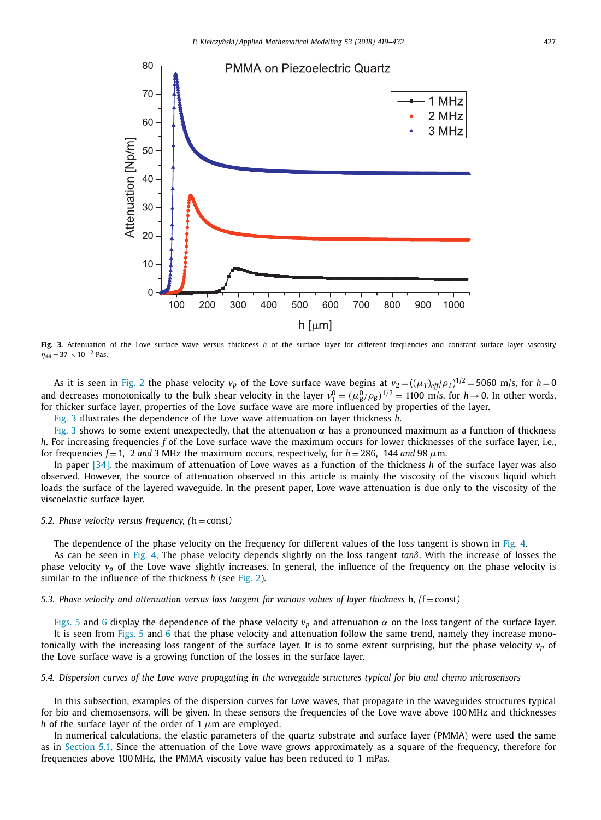<span id="page-8-0"></span>

**Fig. 3.** Attenuation of the Love surface wave versus thickness *h* of the surface layer for different frequencies and constant surface layer viscosity  $\eta_{44} = 37 \times 10^{-2}$  Pas.

As it is seen in [Fig.](#page-7-0) 2 the phase velocity  $v_p$  of the Love surface wave begins at  $v_2 = ((\mu_T)_{eff}/\rho_T)^{1/2} = 5060$  m/s, for  $h = 0$ and decreases monotonically to the bulk shear velocity in the layer  $v_1^0 = (\mu_B^0/\rho_B)^{1/2} = 1100$  m/s, for  $h \to 0$ . In other words, for thicker surface layer, properties of the Love surface wave are more influenced by properties of the layer.

Fig. 3 illustrates the dependence of the Love wave attenuation on layer thickness *h*.

Fig. 3 shows to some extent unexpectedly, that the attenuation  $\alpha$  has a pronounced maximum as a function of thickness *h*. For increasing frequencies *f* of the Love surface wave the maximum occurs for lower thicknesses of the surface layer, i.e., for frequencies  $f = 1$ , 2 *and* 3 MHz the maximum occurs, respectively, for  $h = 286$ , 144 *and* 98  $\mu$ m.

In paper [\[34\],](#page-13-0) the maximum of attenuation of Love waves as a function of the thickness *h* of the surface layer was also observed. However, the source of attenuation observed in this article is mainly the viscosity of the viscous liquid which loads the surface of the layered waveguide. In the present paper, Love wave attenuation is due only to the viscosity of the viscoelastic surface layer.

#### *5.2. Phase velocity versus frequency, (*h = const*)*

The dependence of the phase velocity on the frequency for different values of the loss tangent is shown in [Fig.](#page-9-0) 4.

As can be seen in [Fig.](#page-9-0) 4, The phase velocity depends slightly on the loss tangent *tan*δ. With the increase of losses the phase velocity *vp* of the Love wave slightly increases. In general, the influence of the frequency on the phase velocity is similar to the influence of the thickness *h* (see [Fig.](#page-7-0) 2).

5.3. Phase velocity and attenuation versus loss tangent for various values of layer thickness h,  $(f = const)$ 

[Figs.](#page-9-0) 5 and [6](#page-10-0) display the dependence of the phase velocity  $v_p$  and attenuation  $\alpha$  on the loss tangent of the surface layer. It is seen from [Figs.](#page-9-0) 5 and [6](#page-10-0) that the phase velocity and attenuation follow the same trend, namely they increase monotonically with the increasing loss tangent of the surface layer. It is to some extent surprising, but the phase velocity  $v_p$  of the Love surface wave is a growing function of the losses in the surface layer.

5.4. Dispersion curves of the Love wave propagating in the waveguide structures typical for bio and chemo microsensors

In this subsection, examples of the dispersion curves for Love waves, that propagate in the waveguides structures typical for bio and chemosensors, will be given. In these sensors the frequencies of the Love wave above 100 MHz and thicknesses *h* of the surface layer of the order of 1  $\mu$ m are employed.

In numerical calculations, the elastic parameters of the quartz substrate and surface layer (PMMA) were used the same as in [Section](#page-7-0) 5.1. Since the attenuation of the Love wave grows approximately as a square of the frequency, therefore for frequencies above 100 MHz, the PMMA viscosity value has been reduced to 1 mPas.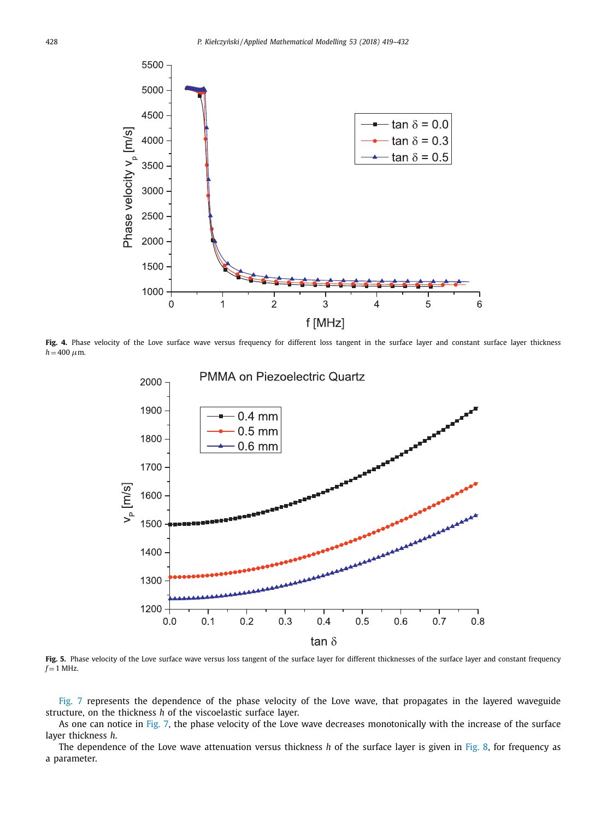<span id="page-9-0"></span>

Fig. 4. Phase velocity of the Love surface wave versus frequency for different loss tangent in the surface layer and constant surface layer thickness  $h = 400 \mu m$ .



Fig. 5. Phase velocity of the Love surface wave versus loss tangent of the surface layer for different thicknesses of the surface layer and constant frequency  $f = 1$  MHz.

[Fig.](#page-10-0) 7 represents the dependence of the phase velocity of the Love wave, that propagates in the layered waveguide structure, on the thickness *h* of the viscoelastic surface layer.

As one can notice in [Fig.](#page-10-0) 7, the phase velocity of the Love wave decreases monotonically with the increase of the surface layer thickness *h*.

The dependence of the Love wave attenuation versus thickness *h* of the surface layer is given in [Fig.](#page-11-0) 8, for frequency as a parameter.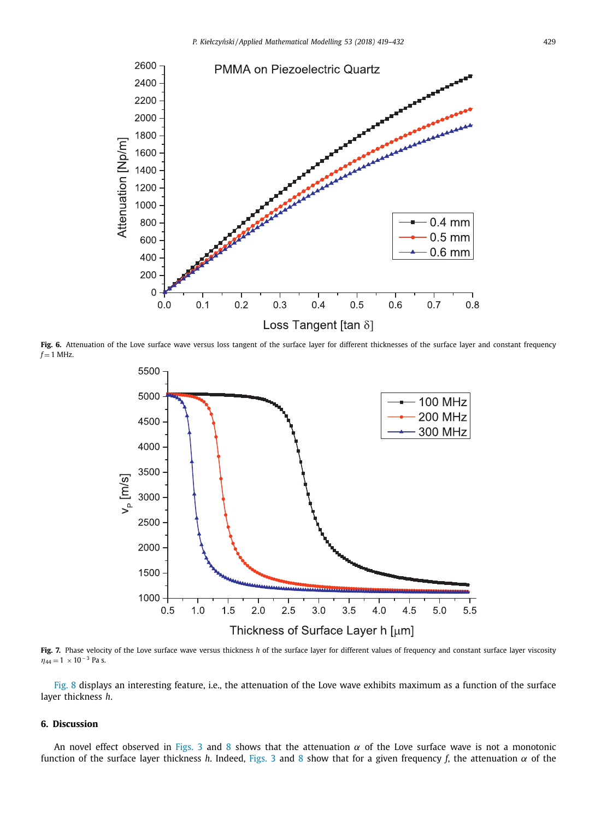<span id="page-10-0"></span>

Fig. 6. Attenuation of the Love surface wave versus loss tangent of the surface layer for different thicknesses of the surface layer and constant frequency  $f = 1$  MHz.



**Fig. 7.** Phase velocity of the Love surface wave versus thickness *h* of the surface layer for different values of frequency and constant surface layer viscosity  $\eta_{44} = 1 \times 10^{-3}$  Pa s.

[Fig.](#page-11-0) 8 displays an interesting feature, i.e., the attenuation of the Love wave exhibits maximum as a function of the surface layer thickness *h*.

#### **6. Discussion**

An novel effect observed in [Figs.](#page-8-0) 3 and [8](#page-11-0) shows that the attenuation  $\alpha$  of the Love surface wave is not a monotonic function of the surface layer thickness *h*. Indeed, [Figs.](#page-8-0) 3 and [8](#page-11-0) show that for a given frequency *f*, the attenuation  $\alpha$  of the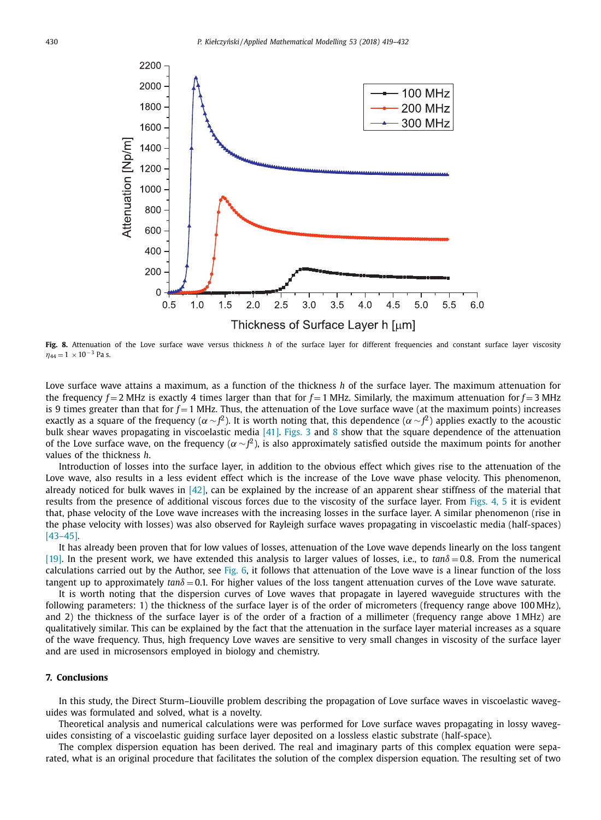<span id="page-11-0"></span>

**Fig. 8.** Attenuation of the Love surface wave versus thickness *h* of the surface layer for different frequencies and constant surface layer viscosity  $\eta_{44} = 1 \times 10^{-3}$  Pa s.

Love surface wave attains a maximum, as a function of the thickness *h* of the surface layer. The maximum attenuation for the frequency  $f = 2$  MHz is exactly 4 times larger than that for  $f = 1$  MHz. Similarly, the maximum attenuation for  $f = 3$  MHz is 9 times greater than that for  $f = 1$  MHz. Thus, the attenuation of the Love surface wave (at the maximum points) increases exactly as a square of the frequency ( $\alpha\!\sim\!f^2$ ). It is worth noting that, this dependence ( $\alpha\!\sim\!f^2$ ) applies exactly to the acoustic bulk shear waves propagating in viscoelastic media [\[41\].](#page-13-0) [Figs.](#page-8-0) 3 and 8 show that the square dependence of the attenuation of the Love surface wave, on the frequency ( $\alpha\!\sim\!f\!\!\!\!{}^2$ ), is also approximately satisfied outside the maximum points for another values of the thickness *h*.

Introduction of losses into the surface layer, in addition to the obvious effect which gives rise to the attenuation of the Love wave, also results in a less evident effect which is the increase of the Love wave phase velocity. This phenomenon, already noticed for bulk waves in  $[42]$ , can be explained by the increase of an apparent shear stiffness of the material that results from the presence of additional viscous forces due to the viscosity of the surface layer. From [Figs.](#page-9-0) 4, 5 it is evident that, phase velocity of the Love wave increases with the increasing losses in the surface layer. A similar phenomenon (rise in the phase velocity with losses) was also observed for Rayleigh surface waves propagating in viscoelastic media (half-spaces) [\[43–45\].](#page-13-0)

It has already been proven that for low values of losses, attenuation of the Love wave depends linearly on the loss tangent [\[19\].](#page-12-0) In the present work, we have extended this analysis to larger values of losses, i.e., to *tan*δ <sup>=</sup> 0.8. From the numerical calculations carried out by the Author, see [Fig.](#page-10-0) 6, it follows that attenuation of the Love wave is a linear function of the loss tangent up to approximately  $tan\delta = 0.1$ . For higher values of the loss tangent attenuation curves of the Love wave saturate.

It is worth noting that the dispersion curves of Love waves that propagate in layered waveguide structures with the following parameters: 1) the thickness of the surface layer is of the order of micrometers (frequency range above 100 MHz), and 2) the thickness of the surface layer is of the order of a fraction of a millimeter (frequency range above 1 MHz) are qualitatively similar. This can be explained by the fact that the attenuation in the surface layer material increases as a square of the wave frequency. Thus, high frequency Love waves are sensitive to very small changes in viscosity of the surface layer and are used in microsensors employed in biology and chemistry.

#### **7. Conclusions**

In this study, the Direct Sturm–Liouville problem describing the propagation of Love surface waves in viscoelastic waveguides was formulated and solved, what is a novelty.

Theoretical analysis and numerical calculations were was performed for Love surface waves propagating in lossy waveguides consisting of a viscoelastic guiding surface layer deposited on a lossless elastic substrate (half-space).

The complex dispersion equation has been derived. The real and imaginary parts of this complex equation were separated, what is an original procedure that facilitates the solution of the complex dispersion equation. The resulting set of two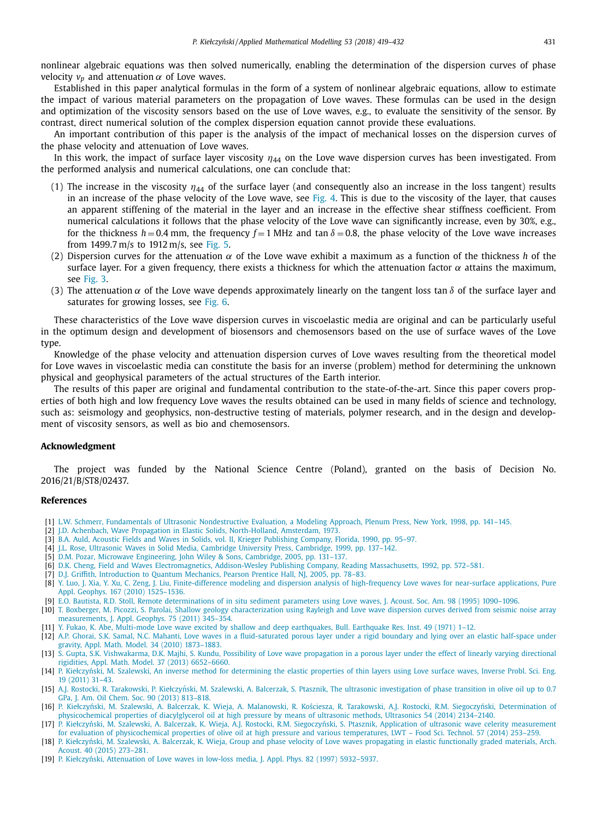<span id="page-12-0"></span>nonlinear algebraic equations was then solved numerically, enabling the determination of the dispersion curves of phase velocity  $v_p$  and attenuation  $\alpha$  of Love waves.

Established in this paper analytical formulas in the form of a system of nonlinear algebraic equations, allow to estimate the impact of various material parameters on the propagation of Love waves. These formulas can be used in the design and optimization of the viscosity sensors based on the use of Love waves, e.g., to evaluate the sensitivity of the sensor. By contrast, direct numerical solution of the complex dispersion equation cannot provide these evaluations.

An important contribution of this paper is the analysis of the impact of mechanical losses on the dispersion curves of the phase velocity and attenuation of Love waves.

In this work, the impact of surface layer viscosity  $\eta_{44}$  on the Love wave dispersion curves has been investigated. From the performed analysis and numerical calculations, one can conclude that:

- (1) The increase in the viscosity  $\eta_{44}$  of the surface layer (and consequently also an increase in the loss tangent) results in an increase of the phase velocity of the Love wave, see [Fig.](#page-9-0) 4. This is due to the viscosity of the layer, that causes an apparent stiffening of the material in the layer and an increase in the effective shear stiffness coefficient. From numerical calculations it follows that the phase velocity of the Love wave can significantly increase, even by 30%, e.g., for the thickness  $h = 0.4$  mm, the frequency  $f = 1$  MHz and tan  $\delta = 0.8$ , the phase velocity of the Love wave increases from 1499.7 m/s to 1912 m/s, see [Fig.](#page-9-0) 5.
- (2) Dispersion curves for the attenuation α of the Love wave exhibit a maximum as a function of the thickness *h* of the surface layer. For a given frequency, there exists a thickness for which the attenuation factor  $\alpha$  attains the maximum, see [Fig.](#page-8-0) 3.
- (3) The attenuation  $\alpha$  of the Love wave depends approximately linearly on the tangent loss tan  $\delta$  of the surface layer and saturates for growing losses, see [Fig.](#page-10-0) 6.

These characteristics of the Love wave dispersion curves in viscoelastic media are original and can be particularly useful in the optimum design and development of biosensors and chemosensors based on the use of surface waves of the Love type.

Knowledge of the phase velocity and attenuation dispersion curves of Love waves resulting from the theoretical model for Love waves in viscoelastic media can constitute the basis for an inverse (problem) method for determining the unknown physical and geophysical parameters of the actual structures of the Earth interior.

The results of this paper are original and fundamental contribution to the state-of-the-art. Since this paper covers properties of both high and low frequency Love waves the results obtained can be used in many fields of science and technology, such as: seismology and geophysics, non-destructive testing of materials, polymer research, and in the design and development of viscosity sensors, as well as bio and chemosensors.

#### **Acknowledgment**

The project was funded by the National Science Centre (Poland), granted on the basis of Decision No. 2016/21/B/ST8/02437.

#### **References**

- [1] L.W. [Schmerr,](http://refhub.elsevier.com/S0307-904X(17)30564-4/sbref0001) Fundamentals of Ultrasonic [Nondestructive](http://refhub.elsevier.com/S0307-904X(17)30564-4/sbref0001) Evaluation, a Modeling Approach, Plenum Press, New York, 1998, pp. 141–145.
- [2] J.D. [Achenbach,](http://refhub.elsevier.com/S0307-904X(17)30564-4/sbref0002) Wave Propagation in Elastic Solids, [North-Holland,](http://refhub.elsevier.com/S0307-904X(17)30564-4/sbref0002) Amsterdam, 1973.
- [3] B.A. [Auld,](http://refhub.elsevier.com/S0307-904X(17)30564-4/sbref0003) Acoustic Fields and Waves in Solids, vol. II, Krieger [Publishing](http://refhub.elsevier.com/S0307-904X(17)30564-4/sbref0003) Company, Florida, 1990, pp. 95–97.
- [4] J.L. [Rose,](http://refhub.elsevier.com/S0307-904X(17)30564-4/sbref0004) Ultrasonic Waves in Solid Media, Cambridge University Press, [Cambridge,](http://refhub.elsevier.com/S0307-904X(17)30564-4/sbref0004) 1999, pp. 137–142.
- [5] D.M. [Pozar,](http://refhub.elsevier.com/S0307-904X(17)30564-4/sbref0005) Microwave [Engineering,](http://refhub.elsevier.com/S0307-904X(17)30564-4/sbref0005) John Wiley & Sons, Cambridge, 2005, pp. 131–137.
- [6] D.K. [Cheng,](http://refhub.elsevier.com/S0307-904X(17)30564-4/sbref0006) Field and Waves [Electromagnetics,](http://refhub.elsevier.com/S0307-904X(17)30564-4/sbref0006) Addison-Wesley Publishing Company, Reading Massachusetts, 1992, pp. 572–581.
- [7] D.J. [Griffith,](http://refhub.elsevier.com/S0307-904X(17)30564-4/sbref0007) [Introduction](http://refhub.elsevier.com/S0307-904X(17)30564-4/sbref0007) to Quantum Mechanics, Pearson Prentice Hall, NJ, 2005, pp. 78–83.
- [8] Y. [Luo,](http://refhub.elsevier.com/S0307-904X(17)30564-4/sbref0008) J. [Xia,](http://refhub.elsevier.com/S0307-904X(17)30564-4/sbref0008) Y. [Xu,](http://refhub.elsevier.com/S0307-904X(17)30564-4/sbref0008) C. [Zeng,](http://refhub.elsevier.com/S0307-904X(17)30564-4/sbref0008) J. [Liu,](http://refhub.elsevier.com/S0307-904X(17)30564-4/sbref0008) [Finite-difference](http://refhub.elsevier.com/S0307-904X(17)30564-4/sbref0008) modeling and dispersion analysis of high-frequency Love waves for near-surface applications, Pure Appl. Geophys. 167 (2010) 1525–1536.
- [9] E.O. [Bautista,](http://refhub.elsevier.com/S0307-904X(17)30564-4/sbref0009) R.D. [Stoll,](http://refhub.elsevier.com/S0307-904X(17)30564-4/sbref0009) Remote [determinations](http://refhub.elsevier.com/S0307-904X(17)30564-4/sbref0009) of in situ sediment parameters using Love waves, J. Acoust. Soc. Am. 98 (1995) 1090–1096.
- [10] T. [Boxberger,](http://refhub.elsevier.com/S0307-904X(17)30564-4/sbref0010) M. [Picozzi,](http://refhub.elsevier.com/S0307-904X(17)30564-4/sbref0010) S. [Parolai,](http://refhub.elsevier.com/S0307-904X(17)30564-4/sbref0010) Shallow geology [characterization](http://refhub.elsevier.com/S0307-904X(17)30564-4/sbref0010) using Rayleigh and Love wave dispersion curves derived from seismic noise array measurements, J. Appl. Geophys. 75 (2011) 345–354.
- [11] Y. [Fukao,](http://refhub.elsevier.com/S0307-904X(17)30564-4/sbref0011) K. [Abe,](http://refhub.elsevier.com/S0307-904X(17)30564-4/sbref0011) Multi-mode Love wave excited by shallow and deep [earthquakes,](http://refhub.elsevier.com/S0307-904X(17)30564-4/sbref0011) Bull. Earthquake Res. Inst. 49 (1971) 1–12.
- [12] A.P. [Ghorai,](http://refhub.elsevier.com/S0307-904X(17)30564-4/sbref0012) S.K. [Samal,](http://refhub.elsevier.com/S0307-904X(17)30564-4/sbref0012) N.C. [Mahanti,](http://refhub.elsevier.com/S0307-904X(17)30564-4/sbref0012) Love waves in a [fluid-saturated](http://refhub.elsevier.com/S0307-904X(17)30564-4/sbref0012) porous layer under a rigid boundary and lying over an elastic half-space under gravity, Appl. Math. Model. 34 (2010) 1873–1883.
- [13] S. [Gupta,](http://refhub.elsevier.com/S0307-904X(17)30564-4/sbref0013) S.K. [Vishwakarma,](http://refhub.elsevier.com/S0307-904X(17)30564-4/sbref0013) D.K. [Majhi,](http://refhub.elsevier.com/S0307-904X(17)30564-4/sbref0013) S. [Kundu,](http://refhub.elsevier.com/S0307-904X(17)30564-4/sbref0013) Possibility of Love wave propagation in a porous layer under the effect of linearly varying directional rigidities, Appl. Math. Model. 37 (2013) 6652–6660.
- [14] P. Kiełczyński, M. [Szalewski,](http://refhub.elsevier.com/S0307-904X(17)30564-4/sbref0014) An inverse method for [determining](http://refhub.elsevier.com/S0307-904X(17)30564-4/sbref0014) the elastic properties of thin layers using Love surface waves, Inverse Probl. Sci. Eng. 19 (2011) 31–43.
- [15] A.J. [Rostocki,](http://refhub.elsevier.com/S0307-904X(17)30564-4/sbref0015) R. [Tarakowski,](http://refhub.elsevier.com/S0307-904X(17)30564-4/sbref0015) P. Kiełczyński, M. [Szalewski,](http://refhub.elsevier.com/S0307-904X(17)30564-4/sbref0015) A. [Balcerzak,](http://refhub.elsevier.com/S0307-904X(17)30564-4/sbref0015) S. [Ptasznik,](http://refhub.elsevier.com/S0307-904X(17)30564-4/sbref0015) The ultrasonic [investigation](http://refhub.elsevier.com/S0307-904X(17)30564-4/sbref0015) of phase transition in olive oil up to 0.7 GPa, J. Am. Oil Chem. Soc. 90 (2013) 813–818.
- [16] P. Kiełczyński, M. [Szalewski,](http://refhub.elsevier.com/S0307-904X(17)30564-4/sbref0016) A. [Balcerzak,](http://refhub.elsevier.com/S0307-904X(17)30564-4/sbref0016) K. [Wieja,](http://refhub.elsevier.com/S0307-904X(17)30564-4/sbref0016) A. [Malanowski,](http://refhub.elsevier.com/S0307-904X(17)30564-4/sbref0016) R. Kościesza, R. [Tarakowski,](http://refhub.elsevier.com/S0307-904X(17)30564-4/sbref0016) A.J. [Rostocki,](http://refhub.elsevier.com/S0307-904X(17)30564-4/sbref0016) R.M. Siegoczyński, Determination of [physicochemical](http://refhub.elsevier.com/S0307-904X(17)30564-4/sbref0016) properties of diacylglycerol oil at high pressure by means of ultrasonic methods, Ultrasonics 54 (2014) 2134–2140.
- [17] P. Kiełczyński, M. [Szalewski,](http://refhub.elsevier.com/S0307-904X(17)30564-4/sbref0017) A. [Balcerzak,](http://refhub.elsevier.com/S0307-904X(17)30564-4/sbref0017) K. [Wieja,](http://refhub.elsevier.com/S0307-904X(17)30564-4/sbref0017) A.J. [Rostocki,](http://refhub.elsevier.com/S0307-904X(17)30564-4/sbref0017) R.M. Siegoczyński, S. [Ptasznik,](http://refhub.elsevier.com/S0307-904X(17)30564-4/sbref0017) Application of ultrasonic wave celerity measurement for evaluation of [physicochemical](http://refhub.elsevier.com/S0307-904X(17)30564-4/sbref0017) properties of olive oil at high pressure and various temperatures, LWT – Food Sci. Technol. 57 (2014) 253–259.
- [18] P. Kiełczyński, M. [Szalewski,](http://refhub.elsevier.com/S0307-904X(17)30564-4/sbref0018) A. [Balcerzak,](http://refhub.elsevier.com/S0307-904X(17)30564-4/sbref0018) K. [Wieja,](http://refhub.elsevier.com/S0307-904X(17)30564-4/sbref0018) Group and phase velocity of Love waves [propagating](http://refhub.elsevier.com/S0307-904X(17)30564-4/sbref0018) in elastic functionally graded materials, Arch. Acoust. 40 (2015) 273–281.
- [19] P. Kiełczyński, [Attenuation](http://refhub.elsevier.com/S0307-904X(17)30564-4/sbref0019) of Love waves in low-loss media, J. Appl. Phys. 82 (1997) 5932–5937.